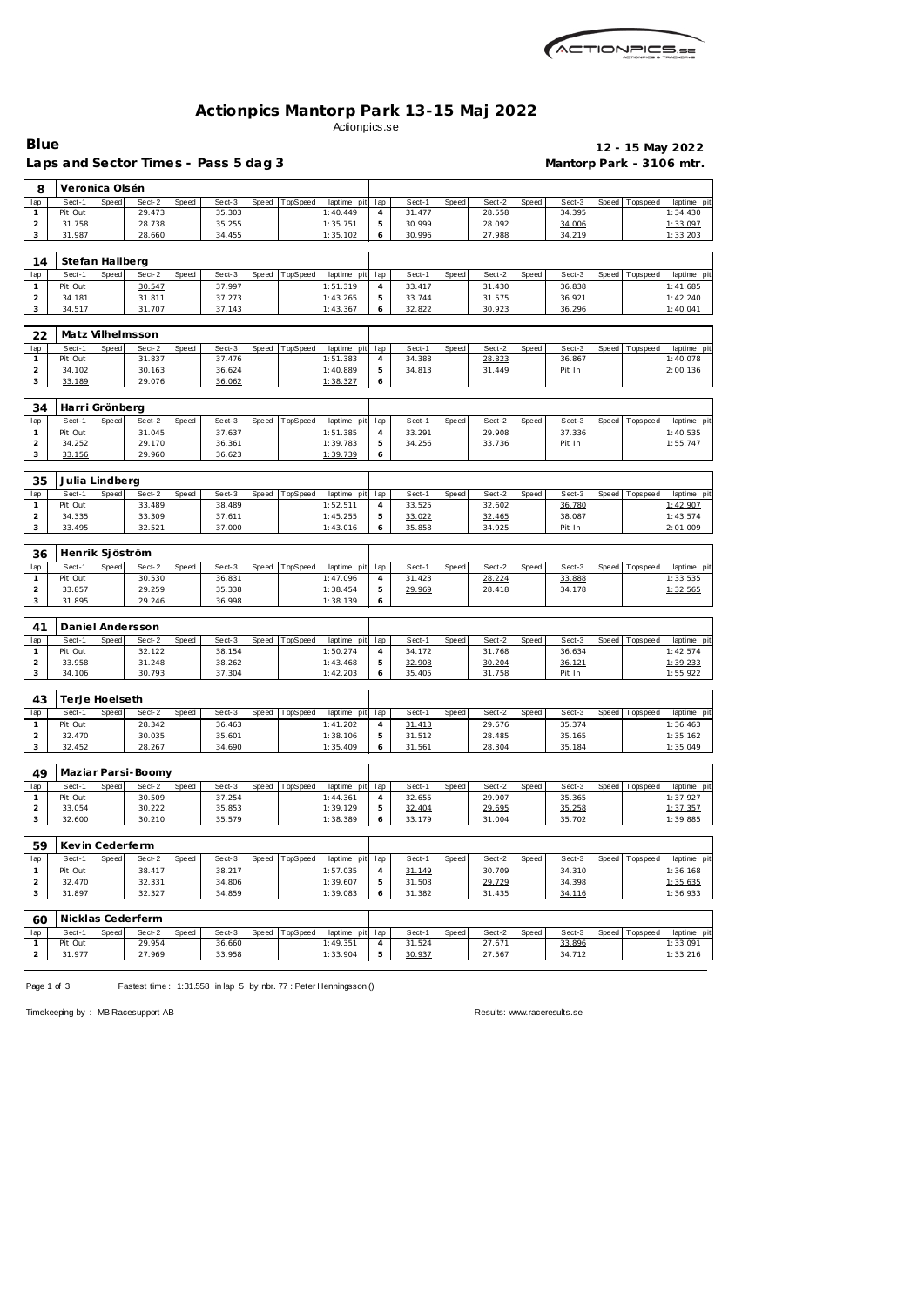| ACTIONPICS.sa |
|---------------|
|               |

## **Actionpics Mantorp Park 13-15 Maj 2022** Actionpics.se

**Blue 12 - 15 May 2022**

|                |                   |       | Laps and Sector Times - Pass 5 dag 3 |       |                  |       |                  |                         |          |                  |       |                  |              |                  |       |                   | Mantorp Park - 3106 mtr. |
|----------------|-------------------|-------|--------------------------------------|-------|------------------|-------|------------------|-------------------------|----------|------------------|-------|------------------|--------------|------------------|-------|-------------------|--------------------------|
| 8              | Veronica Olsén    |       |                                      |       |                  |       |                  |                         |          |                  |       |                  |              |                  |       |                   |                          |
| lap            | Sect-1            | Speed | Sect-2                               | Speed | Sect-3           | Speed | TopSpeed         | laptime pit             | lap      | Sect-1           | Speed | Sect-2           | Speed        | Sect-3           |       | Speed   Tops peed | laptime pi               |
| $\mathbf{1}$   | Pit Out           |       | 29.473                               |       | 35.303           |       |                  | 1:40.449                | 4        | 31.477           |       | 28.558           |              | 34.395           |       |                   | 1:34.430                 |
| 2              | 31.758            |       | 28.738                               |       | 35.255           |       |                  | 1:35.751                | 5        | 30.999           |       | 28.092           |              | 34.006           |       |                   | 1:33.097                 |
| 3              | 31.987            |       | 28.660                               |       | 34.455           |       |                  | 1:35.102                | 6        | 30.996           |       | 27.988           |              | 34.219           |       |                   | 1:33.203                 |
| 14             | Stefan Hallberg   |       |                                      |       |                  |       |                  |                         |          |                  |       |                  |              |                  |       |                   |                          |
| lap            | Sect-1            | Speed | Sect-2                               | Speed | Sect-3           | Speed | TopSpeed         | laptime pit             | lap      | Sect-1           | Speed | Sect-2           | Speed        | Sect-3           | Speed | Tops pee d        | laptime pi               |
| $\mathbf{1}$   | Pit Out           |       | 30.547                               |       | 37.997           |       |                  | 1:51.319                | 4        | 33.417           |       | 31.430           |              | 36.838           |       |                   | 1:41.685                 |
| $\overline{a}$ | 34.181            |       | 31.811                               |       | 37.273           |       |                  | 1:43.265                | 5        | 33.744           |       | 31.575           |              | 36.921           |       |                   | 1:42.240                 |
| 3              | 34.517            |       | 31.707                               |       | 37.143           |       |                  | 1:43.367                | 6        | 32.822           |       | 30.923           |              | 36.296           |       |                   | 1:40.041                 |
| 22             |                   |       | Matz Vilhelmsson                     |       |                  |       |                  |                         |          |                  |       |                  |              |                  |       |                   |                          |
| lap            | Sect-1            | Speed | Sect-2                               | Speed | Sect-3           | Speed | TopSpeed         | laptime pit             | lap      | Sect-1           | Speed | Sect-2           | Speed        | Sect-3           | Speed | Tops peed         | laptime pi               |
| 1              | Pit Out           |       | 31.837                               |       | 37.476           |       |                  | 1:51.383                | 4        | 34.388           |       | 28.823           |              | 36.867           |       |                   | 1:40.078                 |
| $\overline{a}$ | 34.102            |       | 30.163                               |       | 36.624           |       |                  | 1:40.889                | 5        | 34.813           |       | 31.449           |              | Pit In           |       |                   | 2:00.136                 |
| 3              | 33.189            |       | 29.076                               |       | 36.062           |       |                  | 1:38.327                | 6        |                  |       |                  |              |                  |       |                   |                          |
| 34             | Harri Grönberg    |       |                                      |       |                  |       |                  |                         |          |                  |       |                  |              |                  |       |                   |                          |
| lap            | Sect-1            | Speed | Sect-2                               | Speed | Sect-3           | Speed | TopSpeed         | laptime pit             | lap      | Sect-1           | Speed | Sect-2           | Speed        | Sect-3           | Speed | T ops pee d       | laptime pi               |
| $\mathbf{1}$   | Pit Out           |       | 31.045                               |       | 37.637           |       |                  | 1:51.385                | 4        | 33.291           |       | 29.908           |              | 37.336           |       |                   | 1:40.535                 |
| $\overline{a}$ | 34.252            |       | 29.170                               |       | 36.361           |       |                  | 1:39.783                | 5        | 34.256           |       | 33.736           |              | Pit In           |       |                   | 1:55.747                 |
| 3              | 33.156            |       | 29.960                               |       | 36.623           |       |                  | 1:39.739                | 6        |                  |       |                  |              |                  |       |                   |                          |
| 35             | Julia Lindberg    |       |                                      |       |                  |       |                  |                         |          |                  |       |                  |              |                  |       |                   |                          |
| lap            | Sect-1            | Speed | Sect-2                               | Speed | Sect-3           | Speed | TopSpeed         | laptime pit             | lap      | Sect-1           | Speed | Sect-2           | Speed        | Sect-3           | Speed | Tops peed         | laptime pi               |
| 1              | Pit Out           |       | 33.489                               |       | 38.489           |       |                  | 1:52.511                | 4        | 33.525           |       | 32.602           |              | 36.780           |       |                   | 1:42.907                 |
| $\overline{a}$ | 34.335            |       | 33.309                               |       | 37.611           |       |                  | 1:45.255                | 5        | 33.022           |       | 32.465           |              | 38.087           |       |                   | 1:43.574                 |
| 3              | 33.495            |       | 32.521                               |       | 37.000           |       |                  | 1:43.016                | 6        | 35.858           |       | 34.925           |              | Pit In           |       |                   | 2:01.009                 |
| 36             | Henrik Sjöström   |       |                                      |       |                  |       |                  |                         |          |                  |       |                  |              |                  |       |                   |                          |
| lap            | Sect-1            | Speed | Sect-2                               | Speed | Sect-3           | Speed | TopSpeed         | laptime pit             | lap      | Sect-1           | Speed | Sect-2           | Speed        | Sect-3           | Speed | Tops pee d        | laptime pi               |
| $\mathbf{1}$   | Pit Out           |       | 30.530                               |       | 36.831           |       |                  | 1:47.096                | 4        | 31.423           |       | 28.224           |              | 33.888           |       |                   | 1:33.535                 |
| 2              | 33.857            |       | 29.259                               |       | 35.338           |       |                  | 1:38.454                | 5        | 29.969           |       | 28.418           |              | 34.178           |       |                   | 1:32.565                 |
| 3              | 31.895            |       | 29.246                               |       | 36.998           |       |                  | 1:38.139                | 6        |                  |       |                  |              |                  |       |                   |                          |
| 41             |                   |       | Daniel Andersson                     |       |                  |       |                  |                         |          |                  |       |                  |              |                  |       |                   |                          |
| lap            | Sect-1            | Speed | Sect-2                               | Speed | Sect-3           | Speed | TopSpeed         | laptime pit             | lap      | Sect-1           | Speed | Sect-2           | Speed        | Sect-3           | Speed | Tops peed         | laptime pit              |
| $\mathbf{1}$   | Pit Out           |       | 32.122                               |       | 38.154           |       |                  | 1:50.274                | 4        | 34.172           |       | 31.768           |              | 36.634           |       |                   | 1:42.574                 |
| 2              | 33.958            |       | 31.248                               |       | 38.262           |       |                  | 1:43.468                | 5        | 32.908           |       | 30.204           |              | 36.121           |       |                   | 1:39.233                 |
| 3              | 34.106            |       | 30.793                               |       | 37.304           |       |                  | 1:42.203                | 6        | 35.405           |       | 31.758           |              | Pit In           |       |                   | 1:55.922                 |
| 43             | Terje Hoelseth    |       |                                      |       |                  |       |                  |                         |          |                  |       |                  |              |                  |       |                   |                          |
| lap            |                   |       | Sect-1 Speed Sect-2                  | Speed | Sect-3           |       | Speed   TopSpeed | laptime pit             | lap      | Sect-1           | Speed | Sect-2           | Speed        | Sect-3           |       | Speed Topspeed    | laptime pi               |
| $\mathbf{1}$   | Pit Out           |       | 28.342                               |       | 36.463           |       |                  | 1:41.202                | 4        | 31.413           |       | 29.676           |              | 35.374           |       |                   | 1:36.463                 |
| 2              | 32.470            |       | 30.035                               |       | 35.601           |       |                  | 1:38.106                | 5        | 31.512           |       | 28.485           |              | 35.165           |       |                   | 1:35.162                 |
| 3              | 32.452            |       | 28.267                               |       | 34.690           |       |                  | 1:35.409                | 6        | 31.561           |       | 28.304           |              | 35.184           |       |                   | 1:35.049                 |
| 49             |                   |       | Maziar Parsi-Boomy                   |       |                  |       |                  |                         |          |                  |       |                  |              |                  |       |                   |                          |
|                |                   |       |                                      |       |                  |       |                  |                         |          |                  |       |                  |              |                  |       |                   |                          |
| lap<br>1       | Sect-1<br>Pit Out | Speed | Sect-2<br>30.509                     | Speed | Sect-3<br>37.254 | Speed | TopSpeed         | laptime pit<br>1:44.361 | lap<br>4 | Sect-1<br>32.655 | Speed | Sect-2<br>29.907 | Speed        | Sect-3<br>35.365 |       | Speed   Topspeed  | laptime pit<br>1:37.927  |
| $\overline{a}$ | 33.054            |       | 30.222                               |       | 35.853           |       |                  | 1:39.129                | 5        | 32.404           |       | 29.695           |              | 35.258           |       |                   | 1:37.357                 |
| 3              | 32.600            |       | 30.210                               |       | 35.579           |       |                  | 1:38.389                | 6        | 33.179           |       | 31.004           |              | 35.702           |       |                   | 1:39.885                 |
|                |                   |       |                                      |       |                  |       |                  |                         |          |                  |       |                  |              |                  |       |                   |                          |
| 59             | Kevin Cederferm   |       |                                      |       |                  |       |                  |                         |          |                  |       |                  |              |                  |       |                   |                          |
| lap            | Sect-1            | Speed | Sect-2                               | Speed | Sect-3           | Speed | TopSpeed         | laptime pit             | lap      | Sect-1           | Speed | Sect-2           | Speed        | Sect-3           | Speed | T ops pee d       | laptime pi               |
| $\mathbf{1}$   | Pit Out           |       | 38.417                               |       | 38.217           |       |                  | 1:57.035                | 4        | 31.149           |       | 30.709           |              | 34.310           |       |                   | 1:36.168                 |
| $\overline{a}$ | 32.470<br>31.897  |       | 32.331                               |       | 34.806           |       |                  | 1:39.607                | 5        | 31.508           |       | 29.729           |              | 34.398           |       |                   | 1:35.635                 |
| 3              |                   |       | 32.327                               |       | 34.859           |       |                  | 1:39.083                | 6        | 31.382           |       | 31.435           |              | 34.116           |       |                   | 1:36.933                 |
| 60             |                   |       | Nicklas Cederferm                    |       |                  |       |                  |                         |          |                  |       |                  |              |                  |       |                   |                          |
| lap            | Sect-1            | Speed | Sect-2                               | Speed | Sect-3           | Speed | TopSpeed         | laptime pit             | lap      | Sect-1           | Speed | Sect-2           | <b>Speed</b> | Sect-3           | Speed | Tops peed         | laptime pit              |
| 1              | Pit Out           |       | 29.954                               |       | 36.660           |       |                  | 1:49.351                | 4        | 31.524           |       | 27.671           |              | 33.896           |       |                   | 1:33.091                 |
| $\overline{2}$ | 31.977            |       | 27.969                               |       | 33.958           |       |                  | 1:33.904                | 5        | 30.937           |       | 27.567           |              | 34.712           |       |                   | 1:33.216                 |

Page 1 of 3 Fastest time: 1:31.558 in lap 5 by nbr. 77 : Peter Henningsson ()

Timekeeping by : MB Racesupport AB Results:<www.raceresults.se>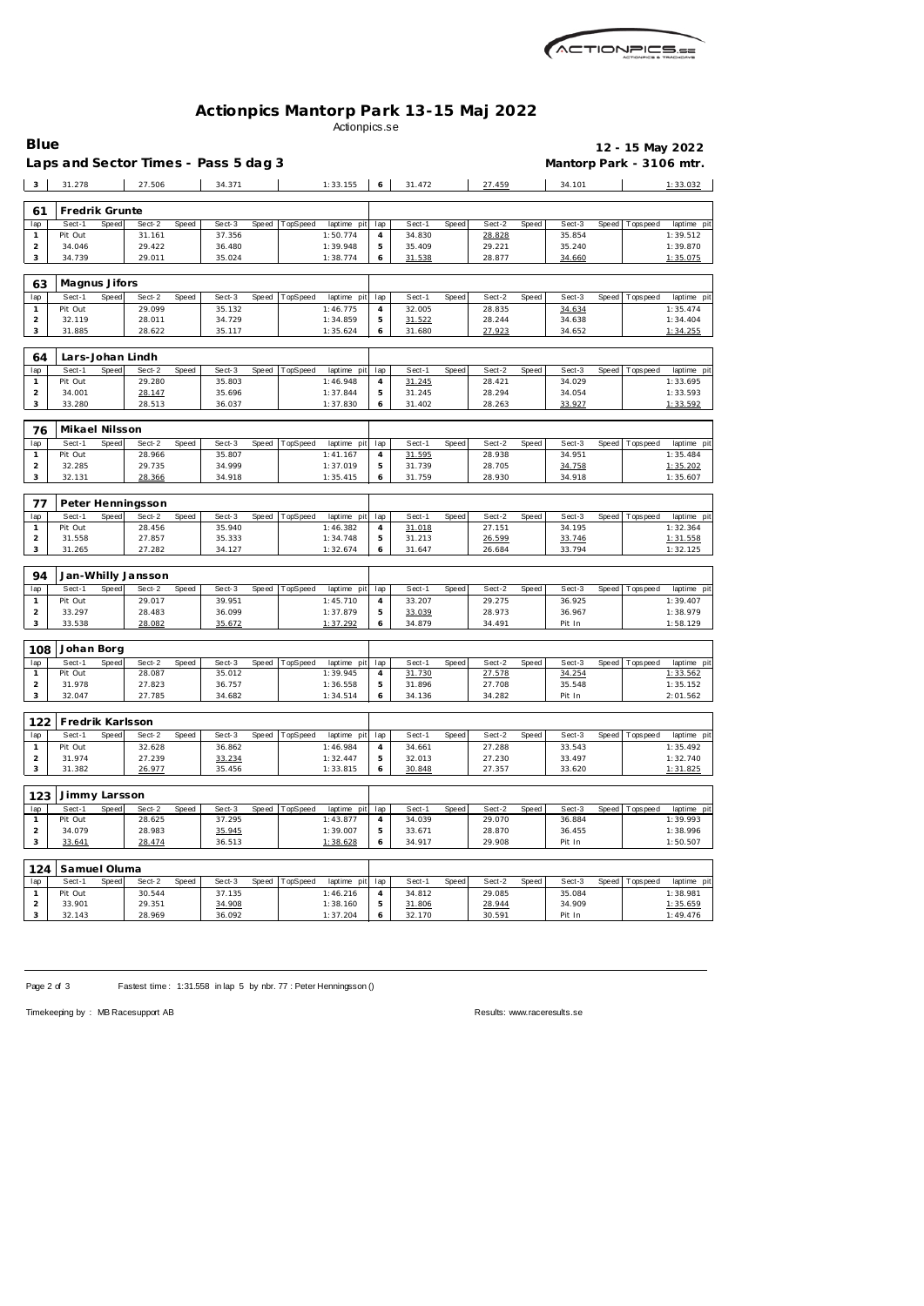

## **Actionpics Mantorp Park 13-15 Maj 2022** Actionpics.se

| <b>Blue</b>             |                         |              |                    |       |                                      |       |          |                         |                       |                  |       |                  |              |                          |              | 12 - 15 May 2022  |                         |
|-------------------------|-------------------------|--------------|--------------------|-------|--------------------------------------|-------|----------|-------------------------|-----------------------|------------------|-------|------------------|--------------|--------------------------|--------------|-------------------|-------------------------|
|                         |                         |              |                    |       | Laps and Sector Times - Pass 5 dag 3 |       |          |                         |                       |                  |       |                  |              | Mantorp Park - 3106 mtr. |              |                   |                         |
|                         | 31.278                  |              | 27.506             |       | 34.371                               |       |          |                         | 6                     | 31.472           |       | 27.459           |              |                          |              |                   |                         |
| $\overline{\mathbf{3}}$ |                         |              |                    |       |                                      |       |          | 1:33.155                |                       |                  |       |                  |              | 34.101                   |              |                   | 1:33.032                |
| 61                      | Fredrik Grunte          |              |                    |       |                                      |       |          |                         |                       |                  |       |                  |              |                          |              |                   |                         |
| lap                     | Sect-1                  | Speed        | Sect-2             | Speed | Sect-3                               | Speed | TopSpeed | laptime pit             | lap                   | Sect-1           | Speed | Sect-2           | Speed        | Sect-3                   |              | Speed   Tops peed | laptime pit             |
| $\mathbf{1}$            | Pit Out                 |              | 31.161             |       | 37.356                               |       |          | 1:50.774                | 4                     | 34.830           |       | 28.828           |              | 35.854                   |              |                   | 1:39.512                |
| $\overline{2}$          | 34.046                  |              | 29.422             |       | 36.480                               |       |          | 1:39.948                | 5                     | 35.409           |       | 29.221           |              | 35.240                   |              |                   | 1:39.870                |
| 3                       | 34.739                  |              | 29.011             |       | 35.024                               |       |          | 1:38.774                | 6                     | 31.538           |       | 28.877           |              | 34.660                   |              |                   | 1:35.075                |
|                         |                         |              |                    |       |                                      |       |          |                         |                       |                  |       |                  |              |                          |              |                   |                         |
| 63                      | Magnus Jifors<br>Sect-1 | Speed        |                    |       |                                      |       | TopSpeed |                         |                       |                  |       |                  |              | Sect-3                   | Speed        |                   |                         |
| lap<br>$\mathbf{1}$     | Pit Out                 |              | Sect-2<br>29.099   | Speed | Sect-3<br>35.132                     | Speed |          | laptime pit<br>1:46.775 | lap<br>$\overline{4}$ | Sect-1<br>32.005 | Speed | Sect-2<br>28.835 | Speed        | 34.634                   |              | T ops pee d       | laptime pit<br>1:35.474 |
| $\overline{2}$          | 32.119                  |              | 28.011             |       | 34.729                               |       |          | 1:34.859                | 5                     | 31.522           |       | 28.244           |              | 34.638                   |              |                   | 1:34.404                |
| 3                       | 31.885                  |              | 28.622             |       | 35.117                               |       |          | 1:35.624                | 6                     | 31.680           |       | 27.923           |              | 34.652                   |              |                   | 1:34.255                |
|                         |                         |              |                    |       |                                      |       |          |                         |                       |                  |       |                  |              |                          |              |                   |                         |
| 64                      |                         |              | Lars-Johan Lindh   |       |                                      |       |          |                         |                       |                  |       |                  |              |                          |              |                   |                         |
| lap                     | Sect-1                  | Speed        | Sect-2             | Speed | Sect-3                               | Speed | TopSpeed | laptime pit             | lap                   | Sect-1           | Speed | Sect-2           | Speed        | Sect-3                   | Speed        | Tops peed         | laptime pit             |
| 1                       | Pit Out                 |              | 29.280             |       | 35.803                               |       |          | 1:46.948                | $\overline{4}$        | 31.245           |       | 28.421           |              | 34.029                   |              |                   | 1:33.695                |
| $\overline{2}$<br>3     | 34.001<br>33.280        |              | 28.147<br>28.513   |       | 35.696<br>36.037                     |       |          | 1:37.844<br>1:37.830    | 5<br>6                | 31.245<br>31.402 |       | 28.294<br>28.263 |              | 34.054<br>33.927         |              |                   | 1:33.593<br>1:33.592    |
|                         |                         |              |                    |       |                                      |       |          |                         |                       |                  |       |                  |              |                          |              |                   |                         |
| 76                      | Mikael Nilsson          |              |                    |       |                                      |       |          |                         |                       |                  |       |                  |              |                          |              |                   |                         |
| lap                     | Sect-1                  | <b>Speed</b> | Sect-2             | Speed | Sect-3                               | Speed | TopSpeed | laptime pit             | lap                   | Sect-1           | Speed | Sect-2           | Speed        | Sect-3                   | Speed        | Tops peed         | laptime pit             |
| -1                      | Pit Out                 |              | 28.966             |       | 35.807                               |       |          | 1:41.167                | $\overline{4}$        | 31.595           |       | 28.938           |              | 34.951                   |              |                   | 1:35.484                |
| 2                       | 32.285                  |              | 29.735             |       | 34.999                               |       |          | 1:37.019                | 5                     | 31.739           |       | 28.705           |              | 34.758                   |              |                   | 1:35.202                |
| 3                       | 32.131                  |              | 28.366             |       | 34.918                               |       |          | 1:35.415                | 6                     | 31.759           |       | 28.930           |              | 34.918                   |              |                   | 1:35.607                |
|                         |                         |              |                    |       |                                      |       |          |                         |                       |                  |       |                  |              |                          |              |                   |                         |
| 77                      |                         |              | Peter Henningsson  |       |                                      |       |          |                         |                       |                  |       |                  |              |                          |              |                   |                         |
| lap<br>-1               | Sect-1<br>Pit Out       | <b>Speed</b> | Sect-2<br>28.456   | Speed | Sect-3<br>35.940                     | Speed | TopSpeed | laptime pit<br>1:46.382 | lap<br>4              | Sect-1<br>31.018 | Speed | Sect-2<br>27.151 | Speed        | Sect-3<br>34.195         | Speed        | T ops pee d       | laptime pit<br>1:32.364 |
| $\overline{2}$          | 31.558                  |              | 27.857             |       | 35.333                               |       |          | 1:34.748                | 5                     | 31.213           |       | 26.599           |              | 33.746                   |              |                   | 1:31.558                |
| 3                       | 31.265                  |              | 27.282             |       | 34.127                               |       |          | 1:32.674                | 6                     | 31.647           |       | 26.684           |              | 33.794                   |              |                   | 1:32.125                |
|                         |                         |              |                    |       |                                      |       |          |                         |                       |                  |       |                  |              |                          |              |                   |                         |
| 94                      |                         |              | Jan-Whilly Jansson |       |                                      |       |          |                         |                       |                  |       |                  |              |                          |              |                   |                         |
| lap                     | Sect-1                  | Speed        | Sect-2             | Speed | Sect-3                               | Speed | TopSpeed | laptime pit             | lap                   | Sect-1           | Speed | Sect-2           | Speed        | Sect-3                   | Speed        | Tops pee d        | laptime pit             |
| 1                       | Pit Out                 |              | 29.017             |       | 39.951                               |       |          | 1:45.710                | 4                     | 33.207           |       | 29.275           |              | 36.925                   |              |                   | 1:39.407                |
| $\overline{2}$<br>3     | 33.297<br>33.538        |              | 28.483<br>28.082   |       | 36.099<br>35.672                     |       |          | 1:37.879<br>1:37.292    | 5<br>6                | 33.039<br>34.879 |       | 28.973<br>34.491 |              | 36.967<br>Pit In         |              |                   | 1:38.979<br>1:58.129    |
|                         |                         |              |                    |       |                                      |       |          |                         |                       |                  |       |                  |              |                          |              |                   |                         |
| 108                     | Johan Borg              |              |                    |       |                                      |       |          |                         |                       |                  |       |                  |              |                          |              |                   |                         |
| lap                     | Sect-1                  | Speed        | Sect-2             | Speed | Sect-3                               | Speed | TopSpeed | laptime pit             | lap                   | Sect-1           | Speed | Sect-2           | <b>Speed</b> | Sect-3                   | Speed        | T ops pee d       | laptime pit             |
| $\mathbf{1}$            | Pit Out                 |              | 28.087             |       | 35.012                               |       |          | 1:39.945                | $\overline{4}$        | 31.730           |       | 27.578           |              | 34.254                   |              |                   | 1:33.562                |
| $\overline{2}$          | 31.978                  |              | 27.823             |       | 36.757                               |       |          | 1:36.558                | 5                     | 31.896           |       | 27.708           |              | 35.548                   |              |                   | 1:35.152                |
| 3                       | 32.047                  |              | 27.785             |       | 34.682                               |       |          | 1:34.514                | 6                     | 34.136           |       | 34.282           |              | Pit In                   |              |                   | 2:01.562                |
|                         |                         |              |                    |       |                                      |       |          |                         |                       |                  |       |                  |              |                          |              |                   |                         |
| 122                     | Fredrik Karlsson        |              |                    |       |                                      |       |          |                         |                       |                  |       |                  |              |                          |              |                   |                         |
| lap<br>$\mathbf{1}$     | Sect-1<br>Pit Out       | Speed        | Sect-2<br>32.628   | Speed | Sect-3<br>36.862                     | Speed | TopSpeed | laptime pit<br>1:46.984 | lap<br>4              | Sect-1<br>34.661 | Speed | Sect-2<br>27.288 | Speed        | Sect-3<br>33.543         | <b>Speed</b> | T ops pee d       | laptime pit<br>1:35.492 |
| $\overline{2}$          | 31.974                  |              | 27.239             |       | 33.234                               |       |          | 1:32.447                | 5                     | 32.013           |       | 27.230           |              | 33.497                   |              |                   | 1:32.740                |
| 3                       | 31.382                  |              | 26.977             |       | 35.456                               |       |          | 1:33.815                | 6                     | 30.848           |       | 27.357           |              | 33.620                   |              |                   | 1:31.825                |
|                         |                         |              |                    |       |                                      |       |          |                         |                       |                  |       |                  |              |                          |              |                   |                         |
| 123                     | Jimmy Larsson           |              |                    |       |                                      |       |          |                         |                       |                  |       |                  |              |                          |              |                   |                         |
| lap                     | Sect-1                  | Speed        | Sect-2             | Speed | Sect-3                               | Speed | TopSpeed | laptime pit             | lap                   | Sect-1           | Speed | Sect-2           | Speed        | Sect-3                   |              | Speed Topspeed    | laptime pit             |
| 1                       | Pit Out                 |              | 28.625             |       | 37.295                               |       |          | 1:43.877                | 4                     | 34.039           |       | 29.070           |              | 36.884                   |              |                   | 1:39.993                |
| $\overline{a}$<br>3     | 34.079<br>33.641        |              | 28.983<br>28.474   |       | 35.945<br>36.513                     |       |          | 1:39.007<br>1:38.628    | 5<br>6                | 33.671<br>34.917 |       | 28.870<br>29.908 |              | 36.455<br>Pit In         |              |                   | 1:38.996<br>1:50.507    |
|                         |                         |              |                    |       |                                      |       |          |                         |                       |                  |       |                  |              |                          |              |                   |                         |
| 124                     | Samuel Oluma            |              |                    |       |                                      |       |          |                         |                       |                  |       |                  |              |                          |              |                   |                         |
| lap                     | Sect-1                  | Speed        | Sect-2             | Speed | Sect-3                               | Speed | TopSpeed | laptime pit             | lap                   | Sect-1           | Speed | Sect-2           | Speed        | Sect-3                   | Speed        | T ops pee d       | laptime pit             |
| $\mathbf{1}$            | Pit Out                 |              | 30.544             |       | 37.135                               |       |          | 1:46.216                | 4                     | 34.812           |       | 29.085           |              | 35.084                   |              |                   | 1:38.981                |
| $\overline{2}$          | 33.901                  |              | 29.351             |       | 34.908                               |       |          | 1:38.160                | 5                     | 31.806           |       | 28.944           |              | 34.909                   |              |                   | 1:35.659                |
| 3                       | 32.143                  |              | 28.969             |       | 36.092                               |       |          | 1:37.204                | 6                     | 32.170           |       | 30.591           |              | Pit In                   |              |                   | 1:49.476                |

Page 2 of 3 Fastest time: 1:31.558 in lap 5 by nbr. 77 : Peter Henningsson ()

Timekeeping by : MB Racesupport AB Results:<www.raceresults.se>